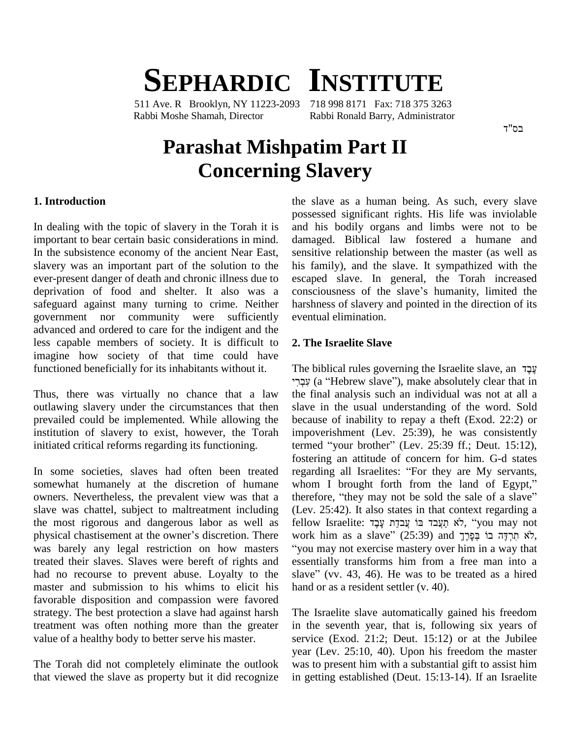# **SEPHARDIC INSTITUTE**

511 Ave. R Brooklyn, NY 11223-2093 Rabbi Moshe Shamah, Director Rabbi Ronald Barry, Administrator

# **Parashat Mishpatim Part II Concerning Slavery**

#### **1. Introduction**

In dealing with the topic of slavery in the Torah it is important to bear certain basic considerations in mind. In the subsistence economy of the ancient Near East, slavery was an important part of the solution to the ever-present danger of death and chronic illness due to deprivation of food and shelter. It also was a safeguard against many turning to crime. Neither government nor community were sufficiently advanced and ordered to care for the indigent and the less capable members of society. It is difficult to imagine how society of that time could have functioned beneficially for its inhabitants without it.

Thus, there was virtually no chance that a law outlawing slavery under the circumstances that then prevailed could be implemented. While allowing the institution of slavery to exist, however, the Torah initiated critical reforms regarding its functioning.

In some societies, slaves had often been treated somewhat humanely at the discretion of humane whom I brought forth from the land of Egypt," owners. Nevertheless, the prevalent view was that a therefore, "they may not be sold the sale of a slave" slave was chattel, subject to maltreatment including the most rigorous and dangerous labor as well as slave was chattel, subject to maltreatment including (Lev.<br>the most rigorous and dangerous labor as well as fellow<br>physical chastisement at the owner's discretion. There work was barely any legal restriction on how masters treated their slaves. Slaves were bereft of rights and had no recourse to prevent abuse. Loyalty to the slave" (vv. 43, 46). He was to be treated as a hired master and submission to his whims to elicit his favorable disposition and compassion were favored strategy. The best protection a slave had against harsh treatment was often nothing more than the greater value of a healthy body to better serve his master.

The Torah did not completely eliminate the outlook that viewed the slave as property but it did recognize the slave as a human being. As such, every slave possessed significant rights. His life was inviolable and his bodily organs and limbs were not to be damaged. Biblical law fostered a humane and sensitive relationship between the master (as well as his family), and the slave. It sympathized with the escaped slave. In general, the Torah increased consciousness of the slave's humanity, limited the harshness of slavery and pointed in the direction of its eventual elimination.

#### **2. The Israelite Slave**

The biblical rules governing the Israelite slave, an  $\frac{1}{2}$  (a <sup>ì</sup>Hebrew slaveî), make absolutely clear that in the final analysis such an individual was not at all a slave in the usual understanding of the word. Sold because of inability to repay a theft (Exod. 22:2) or impoverishment (Lev. 25:39), he was consistently because of inability to repay a theft (Exod. 22:2) or<br>impoverishment (Lev. 25:39), he was consistently<br>termed "your brother" (Lev. 25:39 ff.; Deut. 15:12), fostering an attitude of concern for him. G-d states termed "your brother" (Lev. 25:39 ff.; Deut. 15:12), fostering an attitude of concern for him. G-d states regarding all Israelites: "For they are My servants, fostering an attitude of concern for him. G-d states<br>regarding all Israelites: "For they are My servants,<br>whom I brought forth from the land of Egypt," regarding all Israelites: "For they are My servants,<br>whom I brought forth from the land of Egypt,"<br>therefore, "they may not be sold the sale of a slave" (Lev. 25:42). It also states in that context regarding a fellow Israelite: לֹא תַעֲבד בּוֹ עֲבדַת עָבָד, "you may not work him as a slave" (25:39) and לֹא תְרִדָּה בוֹ בְּפָרֶךְ, "you may not exercise mastery over him in a way that essentially transforms him from a free man into a slave" (vv. 43, 46). He was to be treated as a hired essentially transforms him from a free man into a hand or as a resident settler (v. 40).

The Israelite slave automatically gained his freedom in the seventh year, that is, following six years of service (Exod. 21:2; Deut. 15:12) or at the Jubilee year (Lev. 25:10, 40). Upon his freedom the master was to present him with a substantial gift to assist him in getting established (Deut. 15:13-14). If an Israelite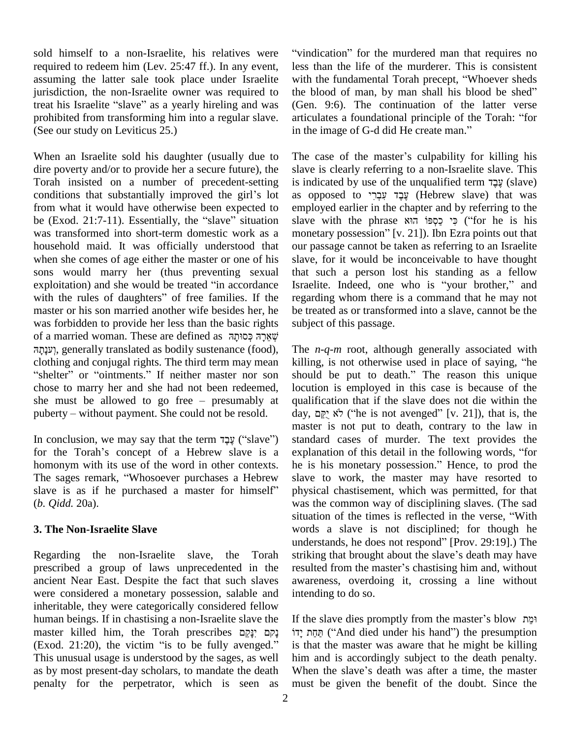sold himself to a non-Israelite, his relatives were required to redeem him (Lev. 25:47 ff.). In any event, assuming the latter sale took place under Israelite jurisdiction, the non-Israelite owner was required to the bl assuming the latter sale took place under Israelite with<br>jurisdiction, the non-Israelite owner was required to the<br>treat his Israelite "slave" as a yearly hireling and was (Ger prohibited from transforming him into a regular slave. articulates a foundational principle of the Torah: "for (See our study on Leviticus 25.)

When an Israelite sold his daughter (usually due to dire poverty and/or to provide her a secure future), the Torah insisted on a number of precedent-setting dire poverty and/or to provide her a secure future), the slat<br>Torah insisted on a number of precedent-setting is<br>conditions that substantially improved the girl's lot from what it would have otherwise been expected to conditions that substantially improved the girl's lot as op<br>from what it would have otherwise been expected to emplo<br>be (Exod. 21:7-11). Essentially, the "slave" situation slave was transformed into short-term domestic work as a household maid. It was officially understood that when she comes of age either the master or one of his sons would marry her (thus preventing sexual the when she comes of age either the master or one of his slave<br>sons would marry her (thus preventing sexual that<br>exploitation) and she would be treated "in accordance Israel sons would marry her (thus preventing sexual that exploitation) and she would be treated "in accordance Israel<br>with the rules of daughters" of free families. If the regar master or his son married another wife besides her, he was forbidden to provide her less than the basic rights of a married woman. These are defined as שְׁאֲרָה כְּסוּתָה יִעְנָתָה, generally translated as bodily sustenance (food), The *n* clothing and conjugal rights. The third term may mean killing "shelter" or "ointments." If neither master nor son should clothing and conjugal rights. The third term may mean chose to marry her and she had not been redeemed, lo "shelter" or "ointments." If neither master nor son show chose to marry her and she had not been redeemed, loc she must be allowed to go free – presumably at quality chose to marry her and she had not been redeemed,<br>she must be allowed to go free – presumably at<br>puberty – without payment. She could not be resold. hy puberty – without payment. She could not be resold.<br>In conclusion, we may say that the term עֲבָד ("slave")

for the Torah's concept of a Hebrew slave is a explanation of this detail in the following words, "for homonym with its use of the word in other contexts. for the Torah's concept of a Hebrew slave is a explanation<br>homonym with its use of the word in other contexts. he is his<br>The sages remark, "Whosoever purchases a Hebrew slave to homonym with its use of the word in other contexts. he is<br>The sages remark, "Whosoever purchases a Hebrew slave<br>slave is as if he purchased a master for himself" physi (*b. Qidd.* 20a).

## **3. The Non-Israelite Slave**

Regarding the non-Israelite slave, the Torah striking that brought about the slave's death may have prescribed a group of laws unprecedented in the resulted from the master's chastising him and, without ancient Near East. Despite the fact that such slaves were considered a monetary possession, salable and inheritable, they were categorically considered fellow human beings. If in chastising a non-Israelite slave the If the inheritable, they were categorically considered fellow<br>human beings. If in chastising a non-Israelite slave the If<br>master killed him, the Torah prescribes יָדוֹ נָקָם יִנָּקֵם human beings. If in chastising a non-Israelite slave the If the master killed him, the Torah prescribes וְקָם יָנָקָם its (Exod. 21:20), the victim "is to be fully avenged." is the This unusual usage is understood by the sages, as well as by most present-day scholars, to mandate the death When the slave's death was after a time, the master penalty for the perpetrator, which is seen as

"vindication" for the murdered man that requires no less than the life of the murderer. This is consistent "vindication" for the murdered man that requires no<br>less than the life of the murderer. This is consistent<br>with the fundamental Torah precept, "Whoever sheds less than the life of the murderer. This is consistent<br>with the fundamental Torah precept, "Whoever sheds<br>the blood of man, by man shall his blood be shed" (Gen. 9:6). The continuation of the latter verse the blood of man, by man shall his blood be shed"<br>(Gen. 9:6). The continuation of the latter verse<br>articulates a foundational principle of the Torah: "for (Gen. 9:6). The continuation of the latter articulates a foundational principle of the Toral<br>in the image of G-d did He create man." in the image of G-d did He create man."<br>The case of the master's culpability for killing his

slave is clearly referring to a non-Israelite slave. This fhe case of the master's culpability for killing his slave is clearly referring to a non-Israelite slave. This is indicated by use of the unqualified term עָבָד slave is clearly referring to a non-Israelite slave. This<br>is indicated by use of the unqualified term עֲבֶד (slave)<br>as opposed to עֲבֶד עִבְרִי (Hebrew slave) that was employed earlier in the chapter and by referring to the as opposed to עֲבֶד עִבְרִי (Hebrew slave) that was employed earlier in the chapter and by referring to the slave with the phrase הוא כספוֹ monetary possession" [v. 21]). Ibn Ezra points out that our passage cannot be taken as referring to an Israelite slave, for it would be inconceivable to have thought that such a person lost his standing as a fellow Israelite. Indeed, one who is "your brother," and regarding whom there is a command that he may not be treated as or transformed into a slave, cannot be the subject of this passage.

The *n-q-m* root, although generally associated with The  $n-q-m$  root, although generally associated with killing, is not otherwise used in place of saying, "he The  $n-q-m$  root, although generally associated with killing, is not otherwise used in place of saying, "he should be put to death." The reason this unique locution is employed in this case is because of the qualification that if the slave does not die within the day, לֹא יִקֵם ("he is not avenged" [v. 21]), that is, the master is not put to death, contrary to the law in standard cases of murder. The text provides the explanation of this detail in the following words, "for standard cases of murder. The text provides the he is his monetary possession." Hence, to prod the slave to work, the master may have resorted to physical chastisement, which was permitted, for that was the common way of disciplining slaves. (The sad situation of the times is reflected in the verse, "With words a slave is not disciplined; for though he situation of the times is reflected in the verse, "With words a slave is not disciplined; for though he understands, he does not respond" [Prov. 29:19].) The words a slave is not disciplined; for though he understands, he does not respond" [Prov. 29:19].) The striking that brought about the slave's death may have understands, he does not respond" [Prov. 29:19].) The striking that brought about the slave's death may have resulted from the master's chastising him and, without awareness, overdoing it, crossing a line without intending to do so.

If the slave dies promptly from the master's blow יִדוֹ ("And died under his hand") the presumption is that the master was aware that he might be killing<br>him and is accordingly subject to the death penalty.<br>When the slave's death was after a time, the master him and is accordingly subject to the death penalty. must be given the benefit of the doubt. Since the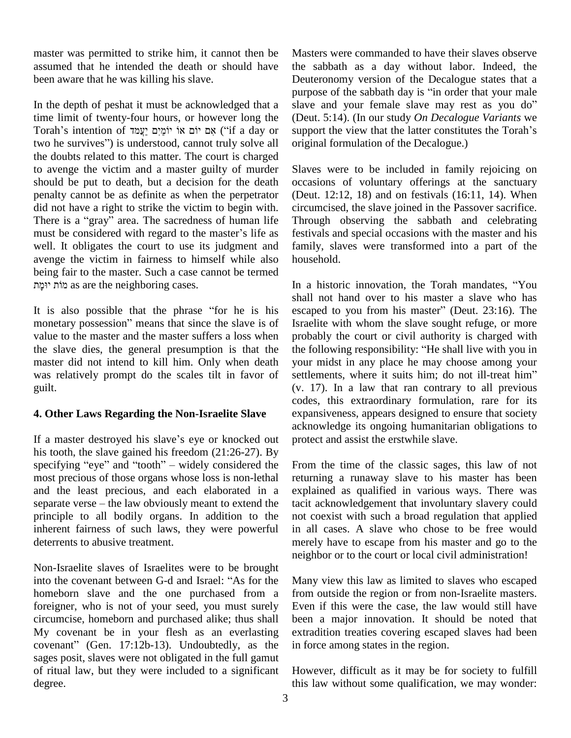master was permitted to strike him, it cannot then be assumed that he intended the death or should have been aware that he was killing his slave.

In the depth of peshat it must be acknowledged that a<br>
ime limit of twenty-four hours, or however long the (Deu<br>
Torah's intention of יוֹמֵיִם יַעֲמֹד if a day or suppe time limit of twenty-four hours, or however long the two he survivesî) is understood, cannot truly solve all the doubts related to this matter. The court is charged to avenge the victim and a master guilty of murder should be put to death, but a decision for the death penalty cannot be as definite as when the perpetrator (Deu<br>did not have a right to strike the victim to begin with. circu:<br>There is a "gray" area. The sacredness of human life Throu did not have a right to strike the victim to begin with. There is a "gray" area. The sacredness of human life must be considered with regard to the master's life as well. It obligates the court to use its judgment and avenge the victim in fairness to himself while also housel being fair to the master. Such a case cannot be termed ge the victim in fairness to himse<br>g fair to the master. Such a case canner<br>מוֹת as are the neighboring cases.

monetary possession" means that since the slave is of value to the master and the master suffers a loss when the slave dies, the general presumption is that the master did not intend to kill him. Only when death was relatively prompt do the scales tilt in favor of settlements, where it suits him; do not ill-treat him" guilt.

## **4. Other Laws Regarding the Non-Israelite Slave**

If a master destroyed his slave's eye or knocked out his tooth, the slave gained his freedom (21:26-27). By specifying "eye" and "tooth"  $-$  widely considered the most precious of those organs whose loss is non-lethal and the least precious, and each elaborated in a most precious of those organs whose loss is non-lethal return<br>and the least precious, and each elaborated in a expla<br>separate verse – the law obviously meant to extend the tacit principle to all bodily organs. In addition to the inherent fairness of such laws, they were powerful deterrents to abusive treatment.

Non-Israelite slaves of Israelites were to be brought into the covenant between G-d and Israel: "As for the homeborn slave and the one purchased from a foreigner, who is not of your seed, you must surely circumcise, homeborn and purchased alike; thus shall been<br>My covenant be in your flesh as an everlasting extra<br>covenant" (Gen. 17:12b-13). Undoubtedly, as the infor My covenant be in your flesh as an everlasting sages posit, slaves were not obligated in the full gamut of ritual law, but they were included to a significant degree.

Masters were commanded to have their slaves observe the sabbath as a day without labor. Indeed, the Deuteronomy version of the Decalogue states that a the sabbath as a day without labor. Indeed, the<br>Deuteronomy version of the Decalogue states that a<br>purpose of the sabbath day is "in order that your male Deuteronomy version of the Decalogue states that a<br>purpose of the sabbath day is "in order that your male<br>slave and your female slave may rest as you do" (Deut. 5:14). (In our study *On Decalogue Variants* we slave and your female slave may rest as you do"<br>(Deut. 5:14). (In our study *On Decalogue Variants* we<br>support the view that the latter constitutes the Torah's original formulation of the Decalogue.)

Slaves were to be included in family rejoicing on occasions of voluntary offerings at the sanctuary (Deut. 12:12, 18) and on festivals (16:11, 14). When circumcised, the slave joined in the Passover sacrifice. Through observing the sabbath and celebrating festivals and special occasions with the master and his family, slaves were transformed into a part of the household. household.<br>In a historic innovation, the Torah mandates, "You

It is also possible that the phrase "for he is his tis discorder of her is his escaped to you from his master" (Deut. 23:16). The is his escaped to you from his master" (Deut. 23:16). The shall not hand over to his master a slave who has In a historic innovation, the Torah mandates, "You shall not hand over to his master a slave who has escaped to you from his master" (Deut. 23:16). The Israelite with whom the slave sought refuge, or more probably the court or civil authority is charged with Israelite with whom the slave sought refuge, or more<br>probably the court or civil authority is charged with<br>the following responsibility: "He shall live with you in your midst in any place he may choose among your the following responsibility: "He shall live with you in<br>your midst in any place he may choose among your<br>settlements, where it suits him; do not ill-treat him" (v. 17). In a law that ran contrary to all previous codes, this extraordinary formulation, rare for its expansiveness, appears designed to ensure that society acknowledge its ongoing humanitarian obligations to protect and assist the erstwhile slave.

> From the time of the classic sages, this law of not returning a runaway slave to his master has been explained as qualified in various ways. There was tacit acknowledgement that involuntary slavery could not coexist with such a broad regulation that applied in all cases. A slave who chose to be free would merely have to escape from his master and go to the neighbor or to the court or local civil administration!

> Many view this law as limited to slaves who escaped from outside the region or from non-Israelite masters. Even if this were the case, the law would still have been a major innovation. It should be noted that extradition treaties covering escaped slaves had been in force among states in the region.

> However, difficult as it may be for society to fulfill this law without some qualification, we may wonder: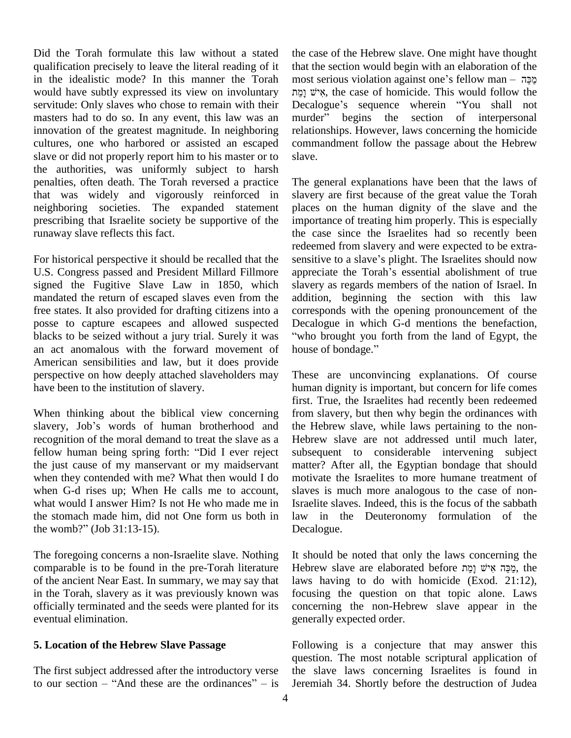Did the Torah formulate this law without a stated qualification precisely to leave the literal reading of it in the idealistic mode? In this manner the Torah would have subtly expressed its view on involuntary servitude: Only slaves who chose to remain with their masters had to do so. In any event, this law was an murder" begins the section of interpersonal innovation of the greatest magnitude. In neighboring cultures, one who harbored or assisted an escaped slave or did not properly report him to his master or to the authorities, was uniformly subject to harsh penalties, often death. The Torah reversed a practice that was widely and vigorously reinforced in neighboring societies. The expanded statement prescribing that Israelite society be supportive of the runaway slave reflects this fact.

For historical perspective it should be recalled that the U.S. Congress passed and President Millard Fillmore appreciate the Torah's essential abolishment of true signed the Fugitive Slave Law in 1850, which mandated the return of escaped slaves even from the free states. It also provided for drafting citizens into a posse to capture escapees and allowed suspected blacks to be seized without a jury trial. Surely it was an act anomalous with the forward movement of house of bondage." American sensibilities and law, but it does provide perspective on how deeply attached slaveholders may have been to the institution of slavery.

When thinking about the biblical view concerning from s First.<br>When thinking about the biblical view concerning from s<br>slavery, Job's words of human brotherhood and the H recognition of the moral demand to treat the slave as a slavery, Job's words of human brotherhood and<br>recognition of the moral demand to treat the slave as a<br>fellow human being spring forth: "Did I ever reject the just cause of my manservant or my maidservant when they contended with me? What then would I do when G-d rises up; When He calls me to account, what would I answer Him? Is not He who made me in Israeli<br>the stomach made him, did not One form us both in law<br>the womb?" (Job 31:13-15). Decale the stomach made him, did not One form us both in

The foregoing concerns a non-Israelite slave. Nothing comparable is to be found in the pre-Torah literature of the ancient Near East. In summary, we may say that in the Torah, slavery as it was previously known was officially terminated and the seeds were planted for its eventual elimination.

#### **5. Location of the Hebrew Slave Passage**

The first subject addressed after the introductory verse to our section  $-$  "And these are the ordinances"  $-$  is the case of the Hebrew slave. One might have thought that the section would begin with an elaboration of the the case of the Hebrew slave. One might have thought<br>that the section would begin with an elaboration of the<br>most serious violation against one's fellow man – מַכֵּה the section would begin with an elaboration of the<br>t serious violation against one's fellow man – מֲכֵה<br>with the case of homicide. This would follow the ess most serious violation against one's fellow man – מַכֵּה<br>אִישׁ וָמֵת, the case of homicide. This would follow the Decalogue's sequence wherein "You shall not אִישׁ וָמֵת, the case of homicide. This would follow the Decalogue's sequence wherein "You shall not murder" begins the section of interpersonal relationships. However, laws concerning the homicide commandment follow the passage about the Hebrew slave.

The general explanations have been that the laws of slavery are first because of the great value the Torah places on the human dignity of the slave and the importance of treating him properly.This is especially the case since the Israelites had so recently been redeemed from slavery and were expected to be extra the case since the Israelites had so recently been<br>redeemed from slavery and were expected to be extra-<br>sensitive to a slave's plight. The Israelites should now redeemed from slavery and were expected to be extra-<br>sensitive to a slave's plight. The Israelites should now<br>appreciate the Torah's essential abolishment of true slavery as regards members of the nation of Israel. In addition, beginning the section with this law corresponds with the opening pronouncement of the Decalogue in which G-d mentions the benefaction, who brought you forth from the land of Egypt, the Decalogue in which G-d<br>"who brought you forth fr<br>house of bondage."

These are unconvincing explanations. Of course human dignity is important, but concern for life comes first. True, the Israelites had recently been redeemed from slavery, but then why begin the ordinances with the Hebrew slave, while laws pertaining to the non- Hebrew slave are not addressed until much later, subsequent to considerable intervening subject matter? After all, the Egyptian bondage that should motivate the Israelites to more humane treatment of slaves is much more analogous to the case of non-Israelite slaves. Indeed, this is the focus of the sabbath law in the Deuteronomy formulation of the Decalogue.

It should be noted that only the laws concerning the Hebrew slave are elaborated before ʺʮʒʕʥ ˇʩʠʑ ʤ˗ʒʮʔ, the laws having to do with homicide (Exod. 21:12), focusing the question on that topic alone. Laws concerning the non-Hebrew slave appear in the generally expected order.

Following is a conjecture that may answer this question. The most notable scriptural application of the slave laws concerning Israelites is found in Jeremiah 34. Shortly before the destruction of Judea